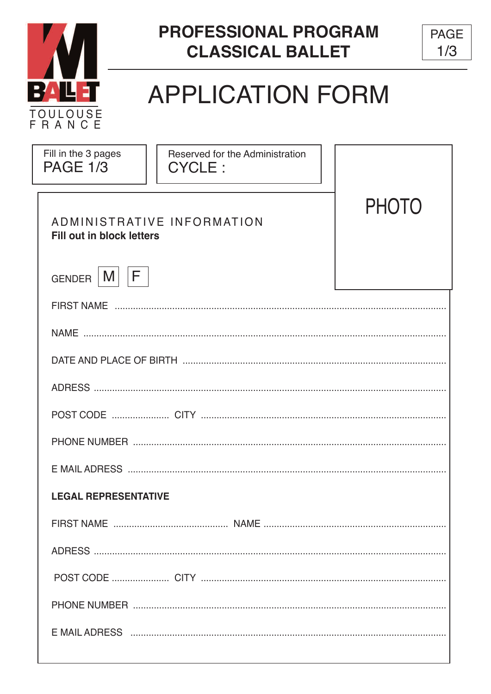



# **APPLICATION FORM**

| Fill in the 3 pages<br><b>PAGE 1/3</b>                                         | Reserved for the Administration<br><b>CYCLE:</b> |  |  |  |
|--------------------------------------------------------------------------------|--------------------------------------------------|--|--|--|
| <b>PHOTO</b><br>ADMINISTRATIVE INFORMATION<br><b>Fill out in block letters</b> |                                                  |  |  |  |
| F<br>M <sub>1</sub><br><b>GENDER</b>                                           |                                                  |  |  |  |
|                                                                                |                                                  |  |  |  |
|                                                                                |                                                  |  |  |  |
|                                                                                |                                                  |  |  |  |
|                                                                                |                                                  |  |  |  |
|                                                                                |                                                  |  |  |  |
|                                                                                |                                                  |  |  |  |
|                                                                                |                                                  |  |  |  |
| <b>LEGAL REPRESENTATIVE</b>                                                    |                                                  |  |  |  |
|                                                                                |                                                  |  |  |  |
|                                                                                |                                                  |  |  |  |
|                                                                                |                                                  |  |  |  |
|                                                                                |                                                  |  |  |  |
|                                                                                |                                                  |  |  |  |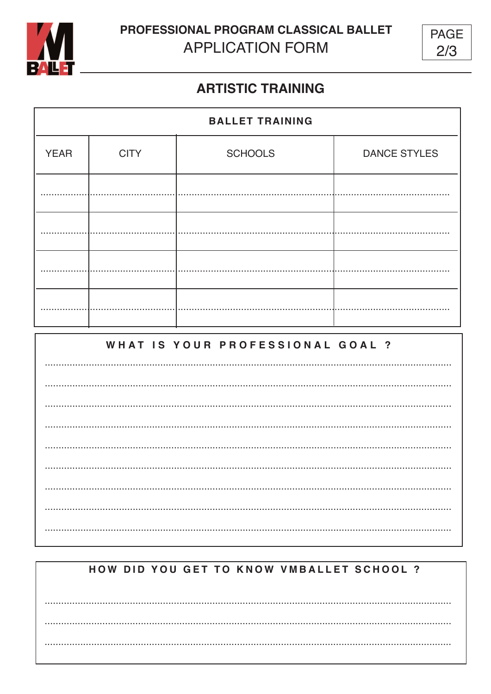

**PROFESSIONAL PROGRAM CLASSICAL BALLET APPLICATION FORM** 



## **ARTISTIC TRAINING**

| <b>BALLET TRAINING</b> |             |                |                     |  |
|------------------------|-------------|----------------|---------------------|--|
| <b>YEAR</b>            | <b>CITY</b> | <b>SCHOOLS</b> | <b>DANCE STYLES</b> |  |
|                        |             |                |                     |  |
|                        |             |                |                     |  |
|                        |             |                |                     |  |
|                        |             |                |                     |  |
|                        |             |                |                     |  |

### WHAT IS YOUR PROFESSIONAL GOAL ?

# HOW DID YOU GET TO KNOW VMBALLET SCHOOL ?